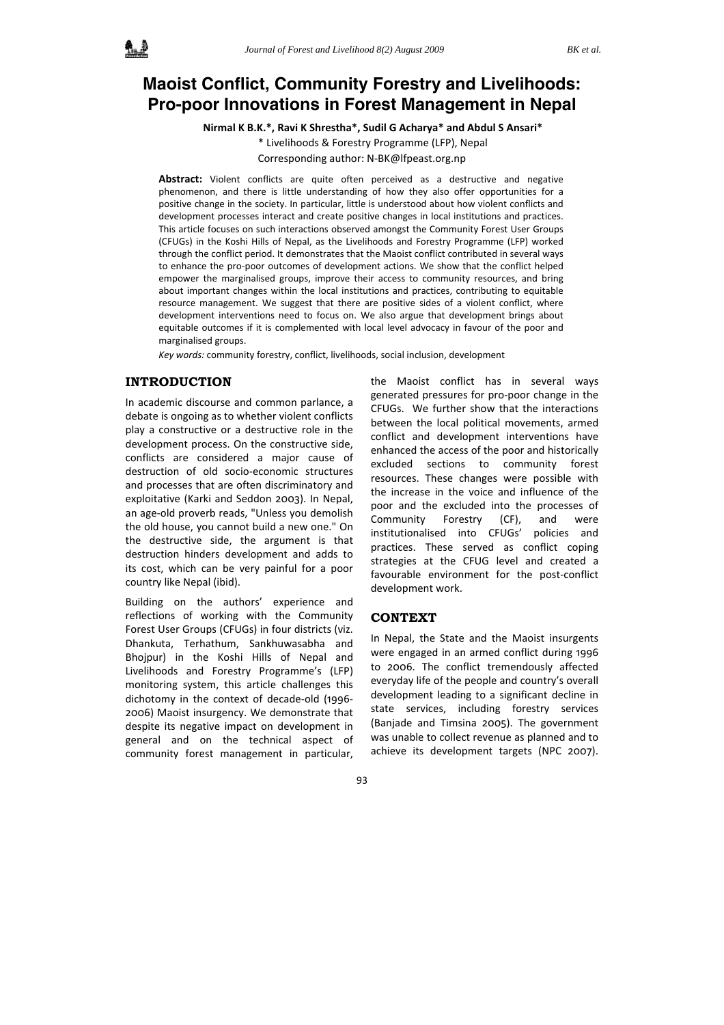# **Maoist Conflict, Community Forestry and Livelihoods: Pro-poor Innovations in Forest Management in Nepal**

**Nirmal K B.K.\*, Ravi K Shrestha\*, Sudil G Acharya\* and Abdul S Ansari\***

\* Livelihoods & Forestry Programme (LFP), Nepal

Corresponding author: N‐BK@lfpeast.org.np

**Abstract:** Violent conflicts are quite often perceived as a destructive and negative phenomenon, and there is little understanding of how they also offer opportunities for a positive change in the society. In particular, little is understood about how violent conflicts and development processes interact and create positive changes in local institutions and practices. This article focuses on such interactions observed amongst the Community Forest User Groups (CFUGs) in the Koshi Hills of Nepal, as the Livelihoods and Forestry Programme (LFP) worked through the conflict period. It demonstrates that the Maoist conflict contributed in several ways to enhance the pro‐poor outcomes of development actions. We show that the conflict helped empower the marginalised groups, improve their access to community resources, and bring about important changes within the local institutions and practices, contributing to equitable resource management. We suggest that there are positive sides of a violent conflict, where development interventions need to focus on. We also argue that development brings about equitable outcomes if it is complemented with local level advocacy in favour of the poor and marginalised groups.

*Key words:* community forestry, conflict, livelihoods, social inclusion, development

# **INTRODUCTION**

In academic discourse and common parlance, a debate is ongoing as to whether violent conflicts play a constructive or a destructive role in the development process. On the constructive side, conflicts are considered a major cause of destruction of old socio‐economic structures and processes that are often discriminatory and exploitative (Karki and Seddon 2003). In Nepal, an age‐old proverb reads, "Unless you demolish the old house, you cannot build a new one." On the destructive side, the argument is that destruction hinders development and adds to its cost, which can be very painful for a poor country like Nepal (ibid).

Building on the authors' experience and reflections of working with the Community Forest User Groups (CFUGs) in four districts (viz. Dhankuta, Terhathum, Sankhuwasabha and Bhojpur) in the Koshi Hills of Nepal and Livelihoods and Forestry Programme's (LFP) monitoring system, this article challenges this dichotomy in the context of decade‐old (1996‐ 2006) Maoist insurgency. We demonstrate that despite its negative impact on development in general and on the technical aspect of community forest management in particular,

the Maoist conflict has in several ways generated pressures for pro‐poor change in the CFUGs. We further show that the interactions between the local political movements, armed conflict and development interventions have enhanced the access of the poor and historically excluded sections to community forest resources. These changes were possible with the increase in the voice and influence of the poor and the excluded into the processes of Community Forestry (CF), and were institutionalised into CFUGs' policies and practices. These served as conflict coping strategies at the CFUG level and created a favourable environment for the post-conflict development work.

# **CONTEXT**

In Nepal, the State and the Maoist insurgents were engaged in an armed conflict during 1996 to 2006. The conflict tremendously affected everyday life of the people and country's overall development leading to a significant decline in state services, including forestry services (Banjade and Timsina 2005). The government was unable to collect revenue as planned and to achieve its development targets (NPC 2007).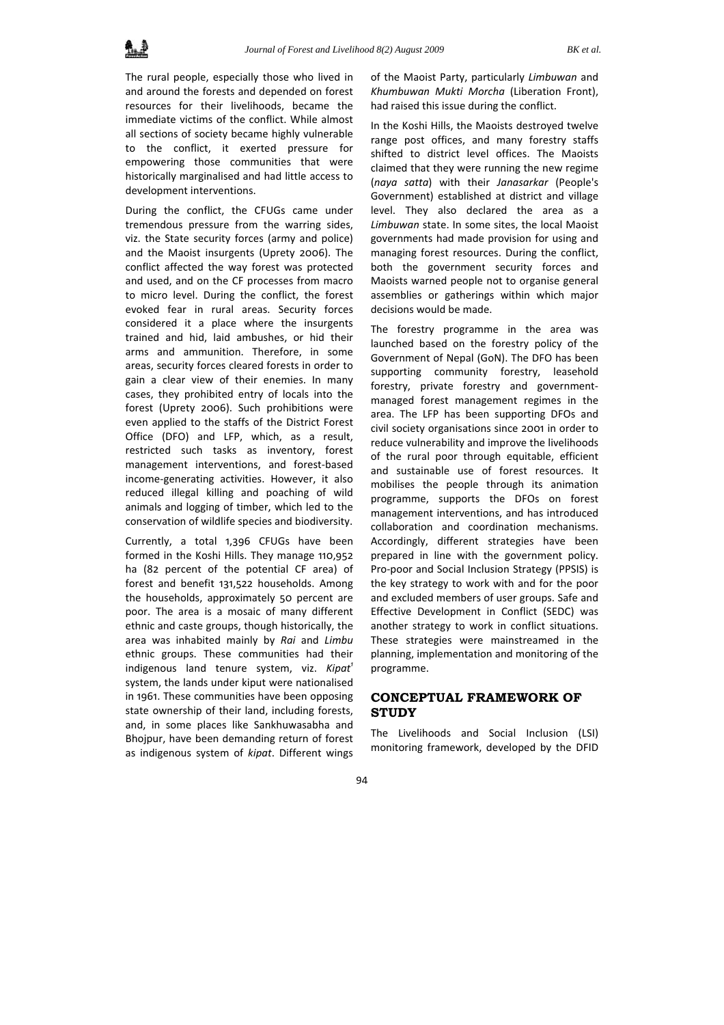

The rural people, especially those who lived in and around the forests and depended on forest resources for their livelihoods, became the immediate victims of the conflict. While almost all sections of society became highly vulnerable to the conflict, it exerted pressure for empowering those communities that were historically marginalised and had little access to development interventions.

During the conflict, the CFUGs came under tremendous pressure from the warring sides, viz. the State security forces (army and police) and the Maoist insurgents (Uprety 2006). The conflict affected the way forest was protected and used, and on the CF processes from macro to micro level. During the conflict, the forest evoked fear in rural areas. Security forces considered it a place where the insurgents trained and hid, laid ambushes, or hid their arms and ammunition. Therefore, in some areas, security forces cleared forests in order to gain a clear view of their enemies. In many cases, they prohibited entry of locals into the forest (Uprety 2006). Such prohibitions were even applied to the staffs of the District Forest Office (DFO) and LFP, which, as a result, restricted such tasks as inventory, forest management interventions, and forest‐based income‐generating activities. However, it also reduced illegal killing and poaching of wild animals and logging of timber, which led to the conservation of wildlife species and biodiversity.

Currently, a total 1,396 CFUGs have been formed in the Koshi Hills. They manage 110,952 ha (82 percent of the potential CF area) of forest and benefit 131,522 households. Among the households, approximately 50 percent are poor. The area is a mosaic of many different ethnic and caste groups, though historically, the area was inhabited mainly by *Rai* and *Limbu* ethnic groups. These communities had their indigenous land tenure system, viz. *Kipat<sup>1</sup>* system, the lands under kiput were nationalised in 1961. These communities have been opposing state ownership of their land, including forests, and, in some places like Sankhuwasabha and Bhojpur, have been demanding return of forest as indigenous system of *kipat*. Different wings

of the Maoist Party, particularly *Limbuwan* and *Khumbuwan Mukti Morcha* (Liberation Front), had raised this issue during the conflict.

In the Koshi Hills, the Maoists destroyed twelve range post offices, and many forestry staffs shifted to district level offices. The Maoists claimed that they were running the new regime (*naya satta*) with their *Janasarkar* (People's Government) established at district and village level. They also declared the area as a *Limbuwan* state. In some sites, the local Maoist governments had made provision for using and managing forest resources. During the conflict, both the government security forces and Maoists warned people not to organise general assemblies or gatherings within which major decisions would be made.

The forestry programme in the area was launched based on the forestry policy of the Government of Nepal (GoN). The DFO has been supporting community forestry, leasehold forestry, private forestry and government‐ managed forest management regimes in the area. The LFP has been supporting DFOs and civil society organisations since 2001 in order to reduce vulnerability and improve the livelihoods of the rural poor through equitable, efficient and sustainable use of forest resources. It mobilises the people through its animation programme, supports the DFOs on forest management interventions, and has introduced collaboration and coordination mechanisms. Accordingly, different strategies have been prepared in line with the government policy. Pro‐poor and Social Inclusion Strategy (PPSIS) is the key strategy to work with and for the poor and excluded members of user groups. Safe and Effective Development in Conflict (SEDC) was another strategy to work in conflict situations. These strategies were mainstreamed in the planning, implementation and monitoring of the programme.

# **CONCEPTUAL FRAMEWORK OF STUDY**

The Livelihoods and Social Inclusion (LSI) monitoring framework, developed by the DFID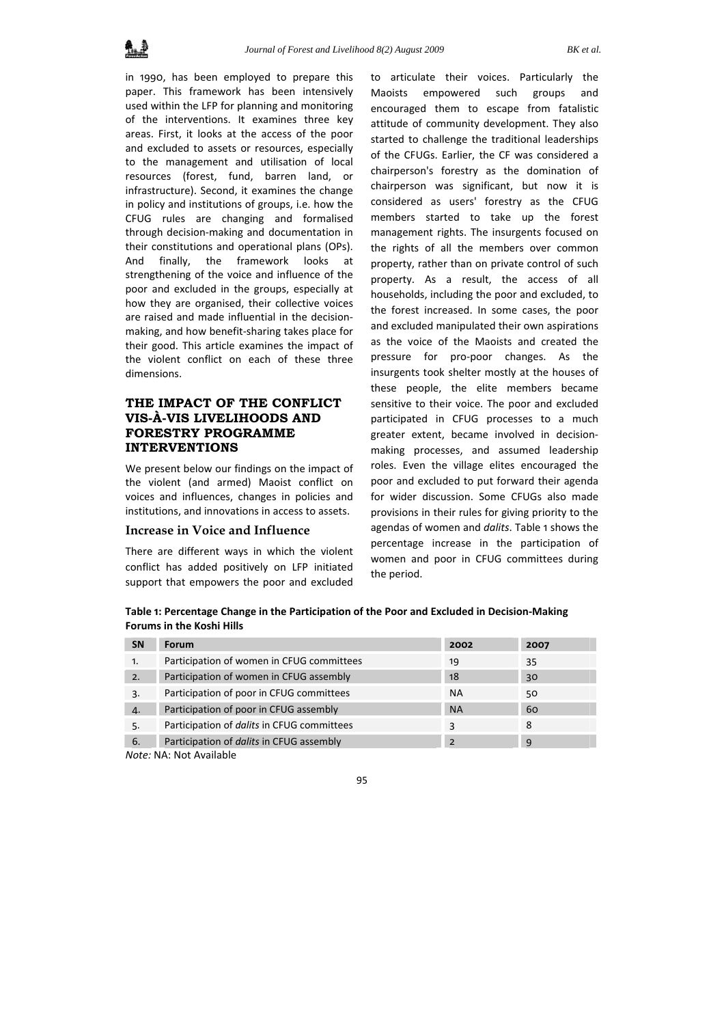in 1990, has been employed to prepare this paper. This framework has been intensively used within the LFP for planning and monitoring of the interventions. It examines three key areas. First, it looks at the access of the poor and excluded to assets or resources, especially to the management and utilisation of local resources (forest, fund, barren land, or infrastructure). Second, it examines the change in policy and institutions of groups, i.e. how the CFUG rules are changing and formalised through decision‐making and documentation in their constitutions and operational plans (OPs). And finally, the framework looks at strengthening of the voice and influence of the poor and excluded in the groups, especially at how they are organised, their collective voices are raised and made influential in the decision‐ making, and how benefit‐sharing takes place for their good. This article examines the impact of the violent conflict on each of these three dimensions.

# **THE IMPACT OF THE CONFLICT VIS-À-VIS LIVELIHOODS AND FORESTRY PROGRAMME INTERVENTIONS**

We present below our findings on the impact of the violent (and armed) Maoist conflict on voices and influences, changes in policies and institutions, and innovations in access to assets.

## **Increase in Voice and Influence**

There are different ways in which the violent conflict has added positively on LFP initiated support that empowers the poor and excluded to articulate their voices. Particularly the Maoists empowered such groups and encouraged them to escape from fatalistic attitude of community development. They also started to challenge the traditional leaderships of the CFUGs. Earlier, the CF was considered a chairperson's forestry as the domination of chairperson was significant, but now it is considered as users' forestry as the CFUG members started to take up the forest management rights. The insurgents focused on the rights of all the members over common property, rather than on private control of such property. As a result, the access of all households, including the poor and excluded, to the forest increased. In some cases, the poor and excluded manipulated their own aspirations as the voice of the Maoists and created the pressure for pro‐poor changes. As the insurgents took shelter mostly at the houses of these people, the elite members became sensitive to their voice. The poor and excluded participated in CFUG processes to a much greater extent, became involved in decision‐ making processes, and assumed leadership roles. Even the village elites encouraged the poor and excluded to put forward their agenda for wider discussion. Some CFUGs also made provisions in their rules for giving priority to the agendas of women and *dalits*. Table 1 shows the percentage increase in the participation of women and poor in CFUG committees during the period.

**Table 1: Percentage Change in the Participation of the Poor and Excluded in Decision‐Making Forums in the Koshi Hills** 

| <b>SN</b> | <b>Forum</b>                                      | 2002           | 2007 |
|-----------|---------------------------------------------------|----------------|------|
| 1.        | Participation of women in CFUG committees         | 19             | 35   |
| 2.        | Participation of women in CFUG assembly           | 18             | 30   |
| 3.        | Participation of poor in CFUG committees          | <b>NA</b>      | 50   |
| 4.        | Participation of poor in CFUG assembly            | <b>NA</b>      | 60   |
| 5.        | Participation of <i>dalits</i> in CFUG committees | 3              | 8    |
| 6.        | Participation of <i>dalits</i> in CFUG assembly   | $\overline{2}$ | 9    |

*Note:* NA: Not Available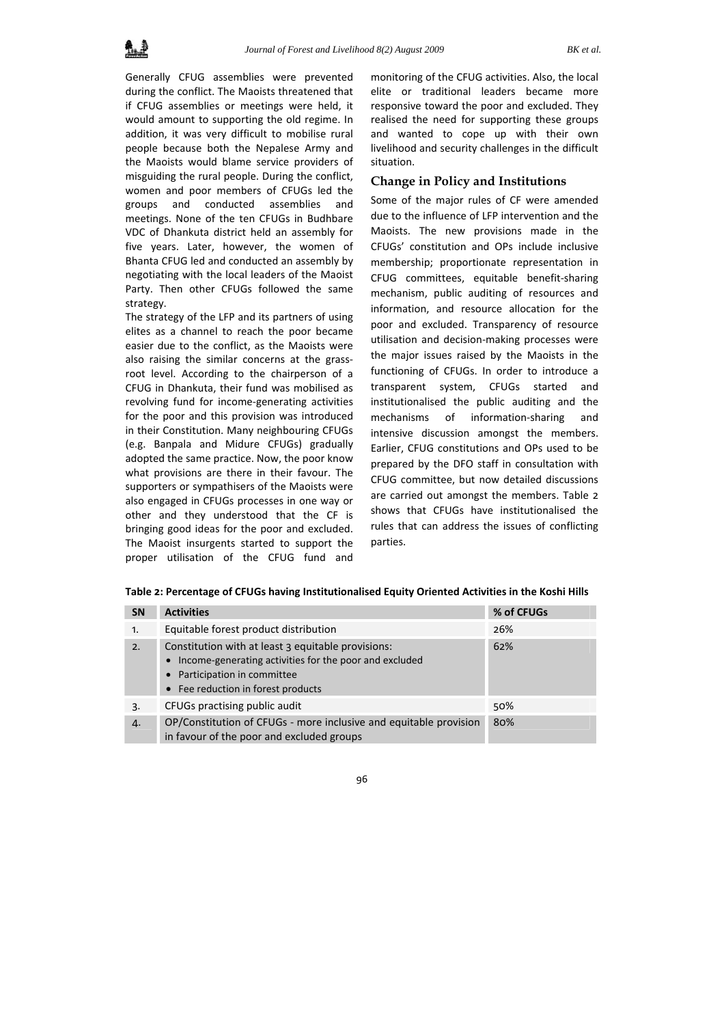Generally CFUG assemblies were prevented during the conflict. The Maoists threatened that if CFUG assemblies or meetings were held, it would amount to supporting the old regime. In addition, it was very difficult to mobilise rural people because both the Nepalese Army and the Maoists would blame service providers of misguiding the rural people. During the conflict, women and poor members of CFUGs led the groups and conducted assemblies and meetings. None of the ten CFUGs in Budhbare VDC of Dhankuta district held an assembly for five years. Later, however, the women of Bhanta CFUG led and conducted an assembly by negotiating with the local leaders of the Maoist Party. Then other CFUGs followed the same strategy.

The strategy of the LFP and its partners of using elites as a channel to reach the poor became easier due to the conflict, as the Maoists were also raising the similar concerns at the grass‐ root level. According to the chairperson of a CFUG in Dhankuta, their fund was mobilised as revolving fund for income‐generating activities for the poor and this provision was introduced in their Constitution. Many neighbouring CFUGs (e.g. Banpala and Midure CFUGs) gradually adopted the same practice. Now, the poor know what provisions are there in their favour. The supporters or sympathisers of the Maoists were also engaged in CFUGs processes in one way or other and they understood that the CF is bringing good ideas for the poor and excluded. The Maoist insurgents started to support the proper utilisation of the CFUG fund and monitoring of the CFUG activities. Also, the local elite or traditional leaders became more responsive toward the poor and excluded. They realised the need for supporting these groups and wanted to cope up with their own livelihood and security challenges in the difficult situation.

# **Change in Policy and Institutions**

Some of the major rules of CF were amended due to the influence of LFP intervention and the Maoists. The new provisions made in the CFUGs' constitution and OPs include inclusive membership; proportionate representation in CFUG committees, equitable benefit‐sharing mechanism, public auditing of resources and information, and resource allocation for the poor and excluded. Transparency of resource utilisation and decision‐making processes were the major issues raised by the Maoists in the functioning of CFUGs. In order to introduce a transparent system, CFUGs started and institutionalised the public auditing and the mechanisms of information‐sharing and intensive discussion amongst the members. Earlier, CFUG constitutions and OPs used to be prepared by the DFO staff in consultation with CFUG committee, but now detailed discussions are carried out amongst the members. Table 2 shows that CFUGs have institutionalised the rules that can address the issues of conflicting parties.

| <b>SN</b> | <b>Activities</b>                                                                                                                                                                | % of CFUGs |
|-----------|----------------------------------------------------------------------------------------------------------------------------------------------------------------------------------|------------|
| 1.        | Equitable forest product distribution                                                                                                                                            | 26%        |
| 2.7       | Constitution with at least 3 equitable provisions:<br>Income-generating activities for the poor and excluded<br>Participation in committee<br>• Fee reduction in forest products | 62%        |
| 3.        | CFUGs practising public audit                                                                                                                                                    | 50%        |
| 4.        | OP/Constitution of CFUGs - more inclusive and equitable provision<br>in favour of the poor and excluded groups                                                                   | 80%        |

**Table 2: Percentage of CFUGs having Institutionalised Equity Oriented Activities in the Koshi Hills**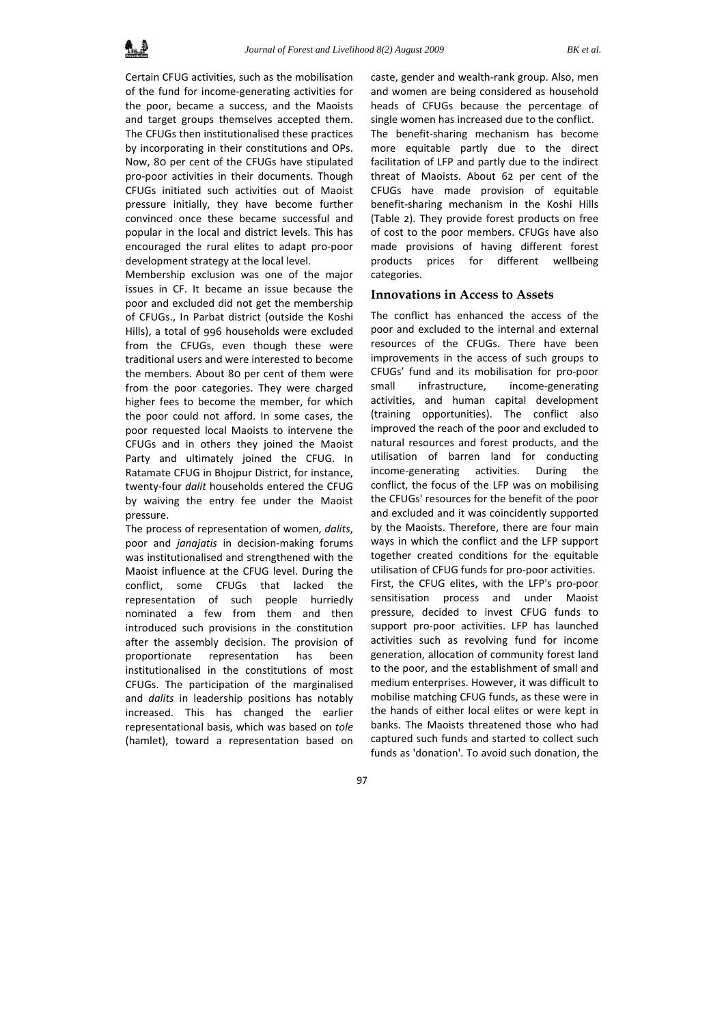Certain CFUG activities, such as the mobilisation of the fund for income‐generating activities for the poor, became a success, and the Maoists and target groups themselves accepted them. The CFUGs then institutionalised these practices by incorporating in their constitutions and OPs. Now, 80 per cent of the CFUGs have stipulated pro‐poor activities in their documents. Though CFUGs initiated such activities out of Maoist pressure initially, they have become further convinced once these became successful and popular in the local and district levels. This has encouraged the rural elites to adapt pro‐poor development strategy at the local level.

Membership exclusion was one of the major issues in CF. It became an issue because the poor and excluded did not get the membership of CFUGs., In Parbat district (outside the Koshi Hills), a total of 996 households were excluded from the CFUGs, even though these were traditional users and were interested to become the members. About 80 per cent of them were from the poor categories. They were charged higher fees to become the member, for which the poor could not afford. In some cases, the poor requested local Maoists to intervene the CFUGs and in others they joined the Maoist Party and ultimately joined the CFUG. In Ratamate CFUG in Bhojpur District, for instance, twenty‐four *dalit* households entered the CFUG by waiving the entry fee under the Maoist pressure.

The process of representation of women, *dalits*, poor and *janajatis* in decision‐making forums was institutionalised and strengthened with the Maoist influence at the CFUG level. During the conflict, some CFUGs that lacked the representation of such people hurriedly nominated a few from them and then introduced such provisions in the constitution after the assembly decision. The provision of proportionate representation has been institutionalised in the constitutions of most CFUGs. The participation of the marginalised and *dalits* in leadership positions has notably increased. This has changed the earlier representational basis, which was based on *tole* (hamlet), toward a representation based on

caste, gender and wealth‐rank group. Also, men and women are being considered as household heads of CFUGs because the percentage of single women has increased due to the conflict. The benefit‐sharing mechanism has become more equitable partly due to the direct facilitation of LFP and partly due to the indirect threat of Maoists. About 62 per cent of the CFUGs have made provision of equitable benefit‐sharing mechanism in the Koshi Hills (Table 2). They provide forest products on free of cost to the poor members. CFUGs have also made provisions of having different forest products prices for different wellbeing categories.

#### **Innovations in Access to Assets**

The conflict has enhanced the access of the poor and excluded to the internal and external resources of the CFUGs. There have been improvements in the access of such groups to CFUGs' fund and its mobilisation for pro‐poor small infrastructure, income-generating activities, and human capital development (training opportunities). The conflict also improved the reach of the poor and excluded to natural resources and forest products, and the utilisation of barren land for conducting income‐generating activities. During the conflict, the focus of the LFP was on mobilising the CFUGs' resources for the benefit of the poor and excluded and it was coincidently supported by the Maoists. Therefore, there are four main ways in which the conflict and the LFP support together created conditions for the equitable utilisation of CFUG funds for pro‐poor activities. First, the CFUG elites, with the LFP's pro‐poor sensitisation process and under Maoist pressure, decided to invest CFUG funds to support pro‐poor activities. LFP has launched activities such as revolving fund for income generation, allocation of community forest land to the poor, and the establishment of small and medium enterprises. However, it was difficult to mobilise matching CFUG funds, as these were in the hands of either local elites or were kept in banks. The Maoists threatened those who had captured such funds and started to collect such funds as 'donation'. To avoid such donation, the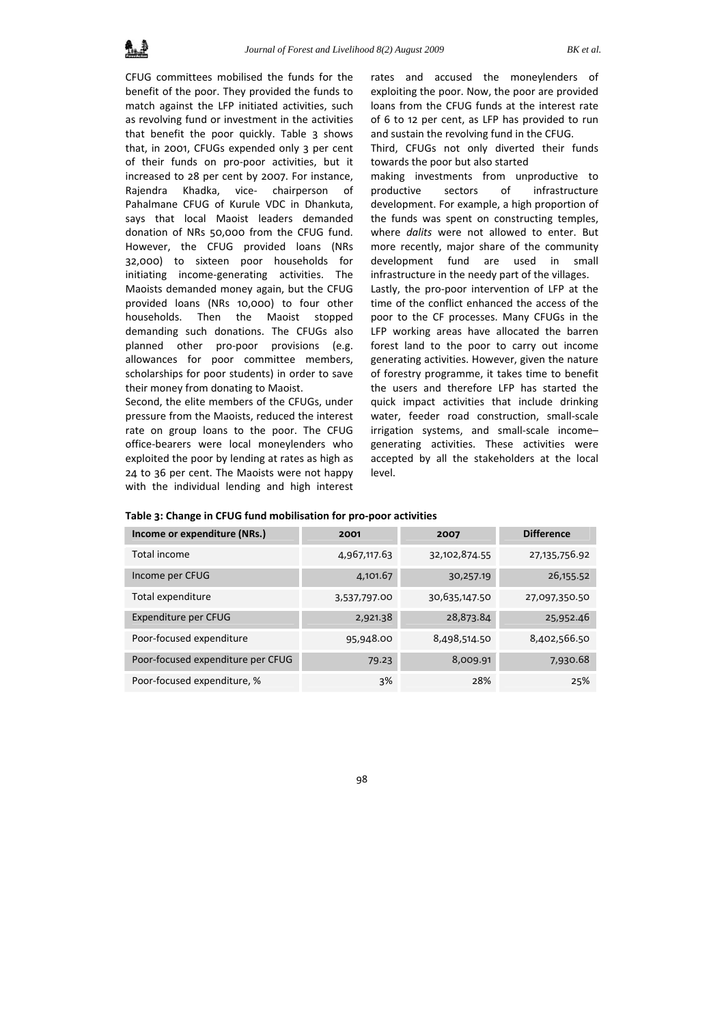CFUG committees mobilised the funds for the benefit of the poor. They provided the funds to match against the LFP initiated activities, such as revolving fund or investment in the activities that benefit the poor quickly. Table 3 shows that, in 2001, CFUGs expended only 3 per cent of their funds on pro‐poor activities, but it increased to 28 per cent by 2007. For instance, Rajendra Khadka, vice‐ chairperson of Pahalmane CFUG of Kurule VDC in Dhankuta, says that local Maoist leaders demanded donation of NRs 50,000 from the CFUG fund. However, the CFUG provided loans (NRs 32,000) to sixteen poor households for initiating income‐generating activities. The Maoists demanded money again, but the CFUG provided loans (NRs 10,000) to four other households. Then the Maoist stopped demanding such donations. The CFUGs also planned other pro-poor provisions (e.g. allowances for poor committee members, scholarships for poor students) in order to save their money from donating to Maoist.

Second, the elite members of the CFUGs, under pressure from the Maoists, reduced the interest rate on group loans to the poor. The CFUG office‐bearers were local moneylenders who exploited the poor by lending at rates as high as 24 to 36 per cent. The Maoists were not happy with the individual lending and high interest rates and accused the moneylenders of exploiting the poor. Now, the poor are provided loans from the CFUG funds at the interest rate of 6 to 12 per cent, as LFP has provided to run and sustain the revolving fund in the CFUG.

Third, CFUGs not only diverted their funds towards the poor but also started

making investments from unproductive to productive sectors of infrastructure development. For example, a high proportion of the funds was spent on constructing temples, where *dalits* were not allowed to enter. But more recently, major share of the community development fund are used in small infrastructure in the needy part of the villages.

Lastly, the pro‐poor intervention of LFP at the time of the conflict enhanced the access of the poor to the CF processes. Many CFUGs in the LFP working areas have allocated the barren forest land to the poor to carry out income generating activities. However, given the nature of forestry programme, it takes time to benefit the users and therefore LFP has started the quick impact activities that include drinking water, feeder road construction, small-scale irrigation systems, and small‐scale income– generating activities. These activities were accepted by all the stakeholders at the local level.

| Income or expenditure (NRs.)      | 2001         | 2007          | <b>Difference</b> |
|-----------------------------------|--------------|---------------|-------------------|
| Total income                      | 4,967,117.63 | 32,102,874.55 | 27,135,756.92     |
| Income per CFUG                   | 4,101.67     | 30,257.19     | 26,155.52         |
| Total expenditure                 | 3,537,797.00 | 30,635,147.50 | 27,097,350.50     |
| Expenditure per CFUG              | 2,921.38     | 28,873.84     | 25,952.46         |
| Poor-focused expenditure          | 95,948.00    | 8,498,514.50  | 8,402,566.50      |
| Poor-focused expenditure per CFUG | 79.23        | 8,009.91      | 7,930.68          |
| Poor-focused expenditure, %       | 3%           | 28%           | 25%               |

**Table 3: Change in CFUG fund mobilisation for pro‐poor activities**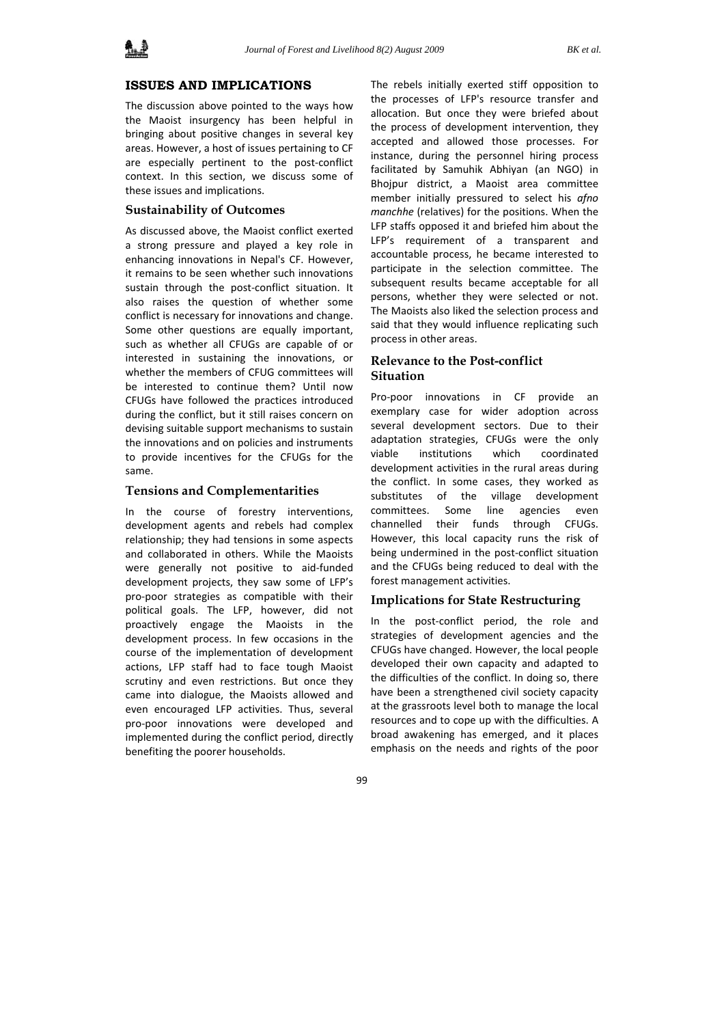

## **ISSUES AND IMPLICATIONS**

The discussion above pointed to the ways how the Maoist insurgency has been helpful in bringing about positive changes in several key areas. However, a host of issues pertaining to CF are especially pertinent to the post-conflict context. In this section, we discuss some of these issues and implications.

#### **Sustainability of Outcomes**

As discussed above, the Maoist conflict exerted a strong pressure and played a key role in enhancing innovations in Nepal's CF. However, it remains to be seen whether such innovations sustain through the post-conflict situation. It also raises the question of whether some conflict is necessary for innovations and change. Some other questions are equally important, such as whether all CFUGs are capable of or interested in sustaining the innovations, or whether the members of CFUG committees will be interested to continue them? Until now CFUGs have followed the practices introduced during the conflict, but it still raises concern on devising suitable support mechanisms to sustain the innovations and on policies and instruments to provide incentives for the CFUGs for the same.

#### **Tensions and Complementarities**

In the course of forestry interventions, development agents and rebels had complex relationship; they had tensions in some aspects and collaborated in others. While the Maoists were generally not positive to aid-funded development projects, they saw some of LFP's pro‐poor strategies as compatible with their political goals. The LFP, however, did not proactively engage the Maoists in the development process. In few occasions in the course of the implementation of development actions, LFP staff had to face tough Maoist scrutiny and even restrictions. But once they came into dialogue, the Maoists allowed and even encouraged LFP activities. Thus, several pro‐poor innovations were developed and implemented during the conflict period, directly benefiting the poorer households.

The rebels initially exerted stiff opposition to the processes of LFP's resource transfer and allocation. But once they were briefed about the process of development intervention, they accepted and allowed those processes. For instance, during the personnel hiring process facilitated by Samuhik Abhiyan (an NGO) in Bhojpur district, a Maoist area committee member initially pressured to select his *afno manchhe* (relatives) for the positions. When the LFP staffs opposed it and briefed him about the LFP's requirement of a transparent and accountable process, he became interested to participate in the selection committee. The subsequent results became acceptable for all persons, whether they were selected or not. The Maoists also liked the selection process and said that they would influence replicating such process in other areas.

# **Relevance to the Post-conflict Situation**

Pro‐poor innovations in CF provide an exemplary case for wider adoption across several development sectors. Due to their adaptation strategies, CFUGs were the only viable institutions which coordinated development activities in the rural areas during the conflict. In some cases, they worked as substitutes of the village development committees. Some line agencies even channelled their funds through CFUGs. However, this local capacity runs the risk of being undermined in the post‐conflict situation and the CFUGs being reduced to deal with the forest management activities.

## **Implications for State Restructuring**

In the post‐conflict period, the role and strategies of development agencies and the CFUGs have changed. However, the local people developed their own capacity and adapted to the difficulties of the conflict. In doing so, there have been a strengthened civil society capacity at the grassroots level both to manage the local resources and to cope up with the difficulties. A broad awakening has emerged, and it places emphasis on the needs and rights of the poor